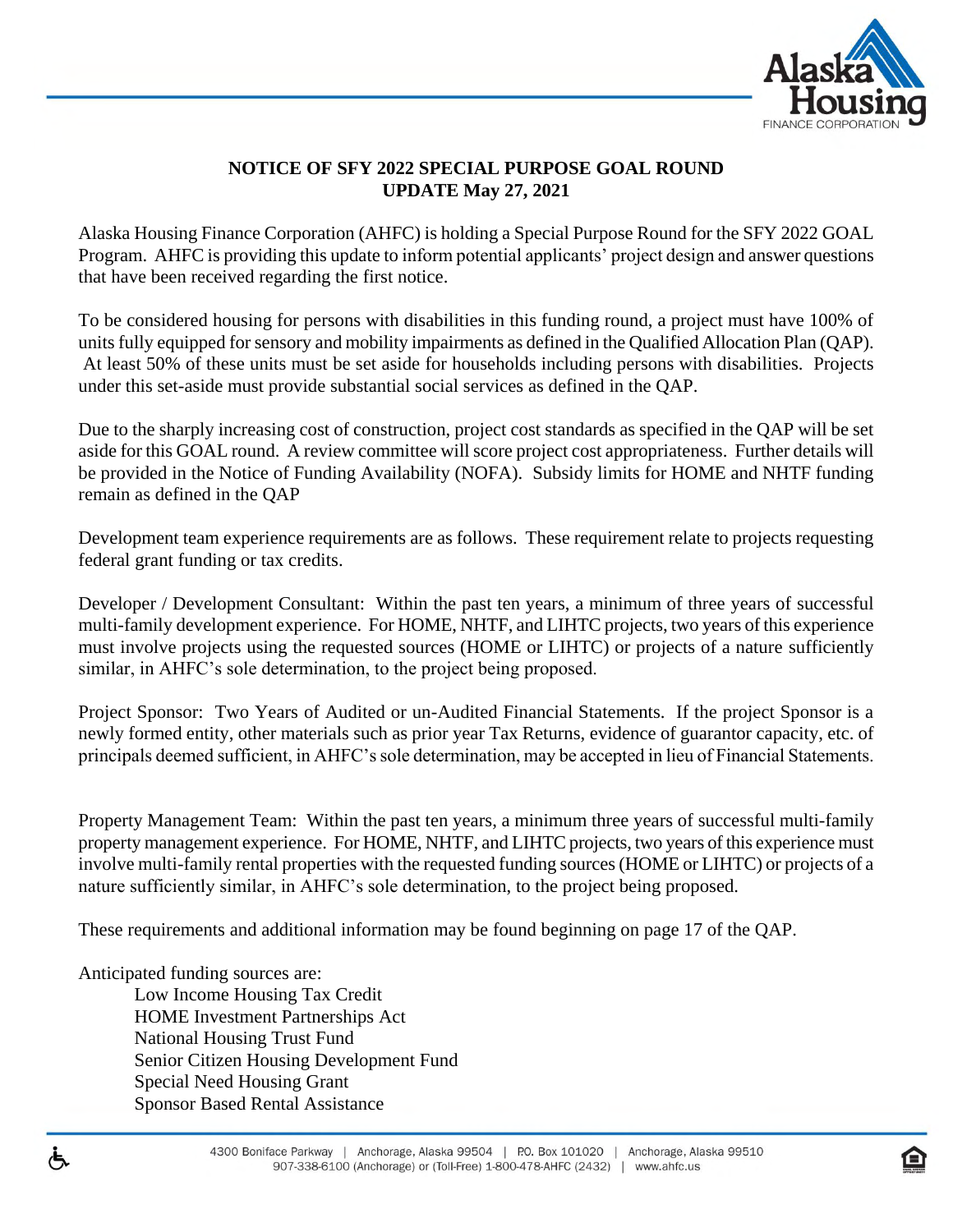

## **NOTICE OF SFY 2022 SPECIAL PURPOSE GOAL ROUND UPDATE May 27, 2021**

Alaska Housing Finance Corporation (AHFC) is holding a Special Purpose Round for the SFY 2022 GOAL Program. AHFC is providing this update to inform potential applicants' project design and answer questions that have been received regarding the first notice.

To be considered housing for persons with disabilities in this funding round, a project must have 100% of units fully equipped for sensory and mobility impairments as defined in the Qualified Allocation Plan (QAP). At least 50% of these units must be set aside for households including persons with disabilities. Projects under this set-aside must provide substantial social services as defined in the QAP.

Due to the sharply increasing cost of construction, project cost standards as specified in the QAP will be set aside for this GOAL round. A review committee will score project cost appropriateness. Further details will be provided in the Notice of Funding Availability (NOFA). Subsidy limits for HOME and NHTF funding remain as defined in the QAP

Development team experience requirements are as follows. These requirement relate to projects requesting federal grant funding or tax credits.

Developer / Development Consultant: Within the past ten years, a minimum of three years of successful multi-family development experience. For HOME, NHTF, and LIHTC projects, two years of this experience must involve projects using the requested sources (HOME or LIHTC) or projects of a nature sufficiently similar, in AHFC's sole determination, to the project being proposed.

Project Sponsor: Two Years of Audited or un-Audited Financial Statements. If the project Sponsor is a newly formed entity, other materials such as prior year Tax Returns, evidence of guarantor capacity, etc. of principals deemed sufficient, in AHFC's sole determination, may be accepted in lieu of Financial Statements.

Property Management Team: Within the past ten years, a minimum three years of successful multi-family property management experience. For HOME, NHTF, and LIHTC projects, two years of this experience must involve multi-family rental properties with the requested funding sources (HOME or LIHTC) or projects of a nature sufficiently similar, in AHFC's sole determination, to the project being proposed.

These requirements and additional information may be found beginning on page 17 of the QAP.

Anticipated funding sources are:

Low Income Housing Tax Credit HOME Investment Partnerships Act National Housing Trust Fund Senior Citizen Housing Development Fund Special Need Housing Grant Sponsor Based Rental Assistance